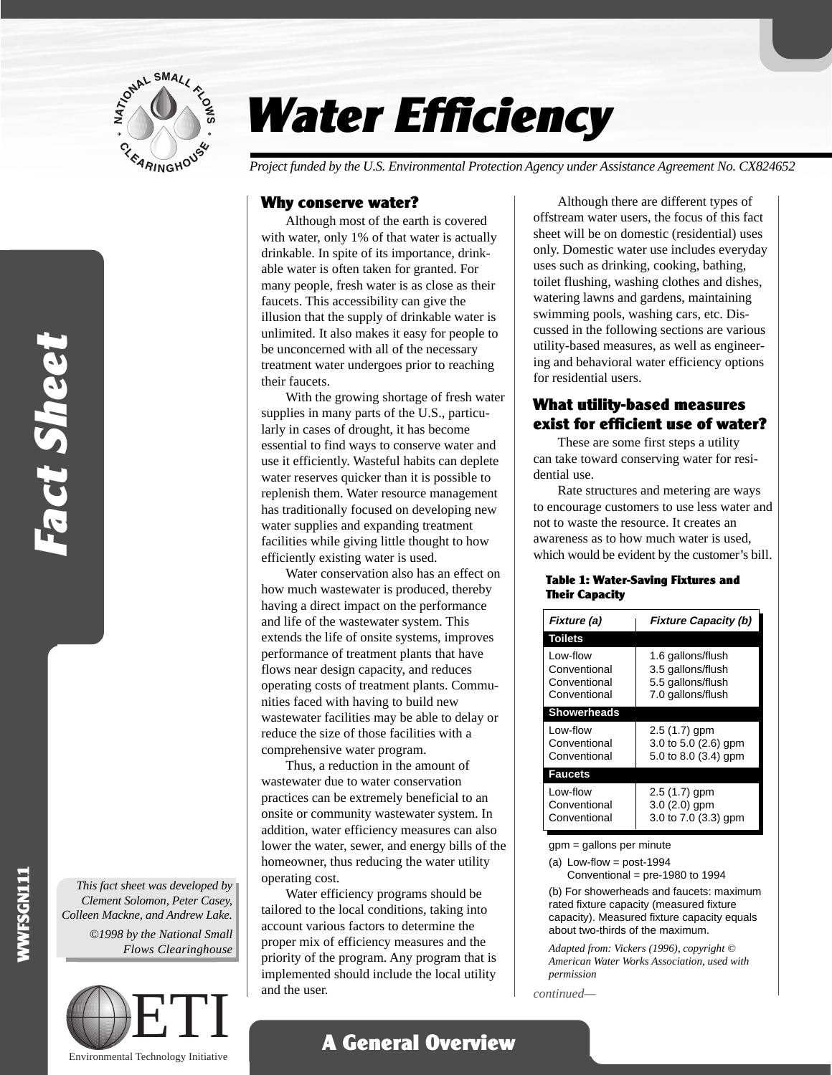

# Water Efficiency

*Project funded by the U.S. Environmental Protection Agency under Assistance Agreement No. CX824652*

#### Why conserve water?

Although most of the earth is covered with water, only 1% of that water is actually drinkable. In spite of its importance, drinkable water is often taken for granted. For many people, fresh water is as close as their faucets. This accessibility can give the illusion that the supply of drinkable water is unlimited. It also makes it easy for people to be unconcerned with all of the necessary treatment water undergoes prior to reaching their faucets.

With the growing shortage of fresh water supplies in many parts of the U.S., particularly in cases of drought, it has become essential to find ways to conserve water and use it efficiently. Wasteful habits can deplete water reserves quicker than it is possible to replenish them. Water resource management has traditionally focused on developing new water supplies and expanding treatment facilities while giving little thought to how efficiently existing water is used.

Water conservation also has an effect on how much wastewater is produced, thereby having a direct impact on the performance and life of the wastewater system. This extends the life of onsite systems, improves performance of treatment plants that have flows near design capacity, and reduces operating costs of treatment plants. Communities faced with having to build new wastewater facilities may be able to delay or reduce the size of those facilities with a comprehensive water program.

Thus, a reduction in the amount of wastewater due to water conservation practices can be extremely beneficial to an onsite or community wastewater system. In addition, water efficiency measures can also lower the water, sewer, and energy bills of the homeowner, thus reducing the water utility operating cost.

Water efficiency programs should be tailored to the local conditions, taking into account various factors to determine the proper mix of efficiency measures and the priority of the program. Any program that is implemented should include the local utility and the user.

A General Overview

Although there are different types of offstream water users, the focus of this fact sheet will be on domestic (residential) uses only. Domestic water use includes everyday uses such as drinking, cooking, bathing, toilet flushing, washing clothes and dishes, watering lawns and gardens, maintaining swimming pools, washing cars, etc. Discussed in the following sections are various utility-based measures, as well as engineering and behavioral water efficiency options for residential users.

### What utility-based measures exist for efficient use of water?

These are some first steps a utility can take toward conserving water for residential use.

Rate structures and metering are ways to encourage customers to use less water and not to waste the resource. It creates an awareness as to how much water is used, which would be evident by the customer's bill.

#### Table 1: Water-Saving Fixtures and Their Capacity

| Fixture (a)                                              | <b>Fixture Capacity (b)</b>                                                      |
|----------------------------------------------------------|----------------------------------------------------------------------------------|
| <b>Toilets</b>                                           |                                                                                  |
| Low-flow<br>Conventional<br>Conventional<br>Conventional | 1.6 gallons/flush<br>3.5 gallons/flush<br>5.5 gallons/flush<br>7.0 gallons/flush |
| <b>Showerheads</b>                                       |                                                                                  |
| Low-flow<br>Conventional<br>Conventional                 | $2.5(1.7)$ gpm<br>3.0 to 5.0 $(2.6)$ gpm<br>5.0 to 8.0 (3.4) gpm                 |
| <b>Faucets</b>                                           |                                                                                  |
| Low-flow<br>Conventional<br>Conventional                 | $2.5(1.7)$ gpm<br>$3.0(2.0)$ gpm<br>3.0 to 7.0 (3.3) gpm                         |

gpm = gallons per minute

(a) Low-flow =  $post-1994$ 

Conventional = pre-1980 to 1994

(b) For showerheads and faucets: maximum rated fixture capacity (measured fixture capacity). Measured fixture capacity equals about two-thirds of the maximum.

*Adapted from: Vickers (1996)*, *copyright © American Water Works Association, used with permission*

*continued—*

*This fact sheet was developed by Clement Solomon, Peter Casey, Colleen Mackne, and Andrew Lake. ©1998 by the National Small Flows Clearinghouse*

WWFSGN111